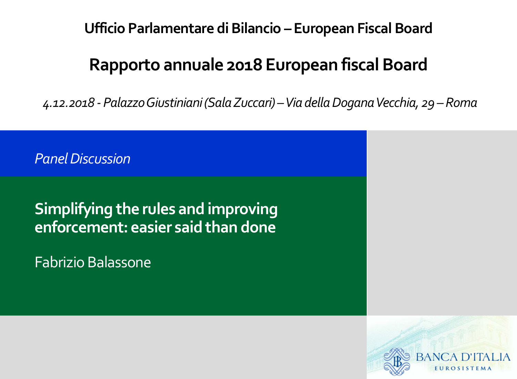**Ufficio Parlamentare di Bilancio – European Fiscal Board**

#### **Rapporto annuale 2018 European fiscal Board**

*4.12.2018 - Palazzo Giustiniani (Sala Zuccari) –Via della Dogana Vecchia, 29* –*Roma* 

*Panel Discussion*

#### **Simplifying the rules and improving enforcement: easier said than done**

Fabrizio Balassone

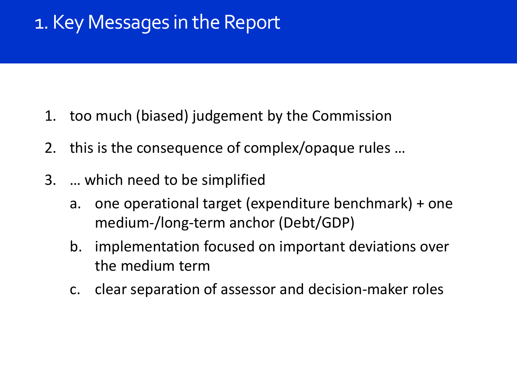# 1. Key Messages in the Report

- 1. too much (biased) judgement by the Commission
- 2. this is the consequence of complex/opaque rules …
- 3. … which need to be simplified
	- a. one operational target (expenditure benchmark) + one medium-/long-term anchor (Debt/GDP)
	- b. implementation focused on important deviations over the medium term
	- c. clear separation of assessor and decision-maker roles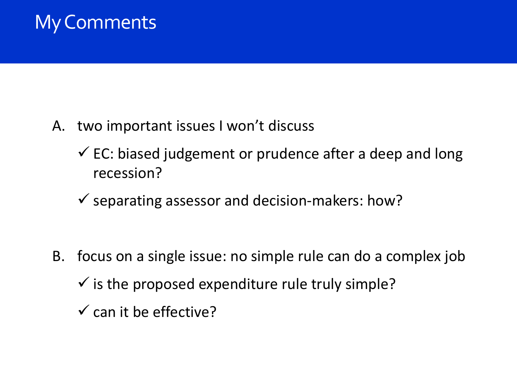# My Comments

- A. two important issues I won't discuss
	- $\checkmark$  EC: biased judgement or prudence after a deep and long recession?
	- $\checkmark$  separating assessor and decision-makers: how?
- B. focus on a single issue: no simple rule can do a complex job  $\checkmark$  is the proposed expenditure rule truly simple?
	- $\checkmark$  can it be effective?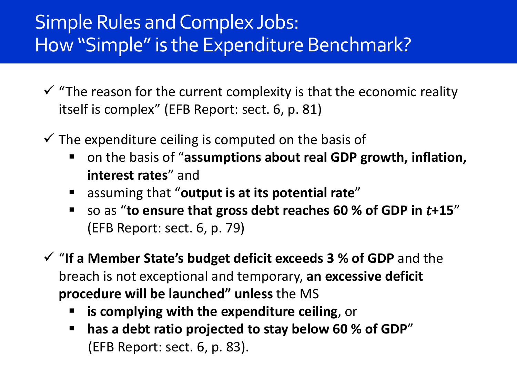### Simple Rules and Complex Jobs: How "Simple" is the Expenditure Benchmark?

- $\checkmark$  "The reason for the current complexity is that the economic reality itself is complex" (EFB Report: sect. 6, p. 81)
- $\checkmark$  The expenditure ceiling is computed on the basis of
	- on the basis of "**assumptions about real GDP growth, inflation, interest rates**" and
	- assuming that "**output is at its potential rate**"
	- so as "**to ensure that gross debt reaches 60 % of GDP in +15**" (EFB Report: sect. 6, p. 79)
- "**If a Member State's budget deficit exceeds 3 % of GDP** and the breach is not exceptional and temporary, **an excessive deficit procedure will be launched" unless** the MS
	- **is complying with the expenditure ceiling**, or
	- **has a debt ratio projected to stay below 60 % of GDP**" (EFB Report: sect. 6, p. 83).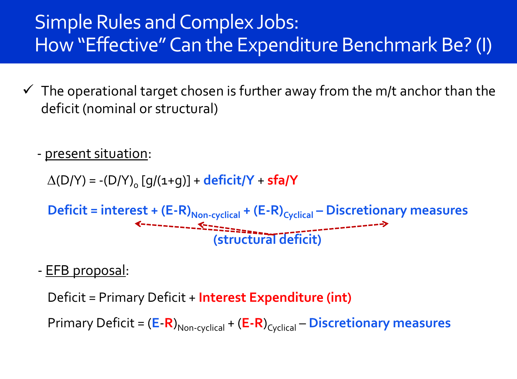### Simple Rules and Complex Jobs: How "Effective" Can the Expenditure Benchmark Be? (I)

 $\checkmark$  The operational target chosen is further away from the m/t anchor than the deficit (nominal or structural)

- <u>present situation</u>:

 $\Delta(D/Y) = -(D/Y)_{0} [q/(1+q)] +$ **deficit/Y** + **sfa/Y** 

```
Deficit = interest + (E-R)<sub>Non-cyclical</sub> + (E-R)<sub>Cyclical</sub> – Discretionary measures<br>
\leftarrow (structural deficit)
```
- EFB proposal:

Deficit = Primary Deficit + **Interest Expenditure (int)**

Primary Deficit =  $(E-R)_{\text{Non-cyclical}} + (E-R)_{\text{Cyclical}} - \text{Discretionary measures}$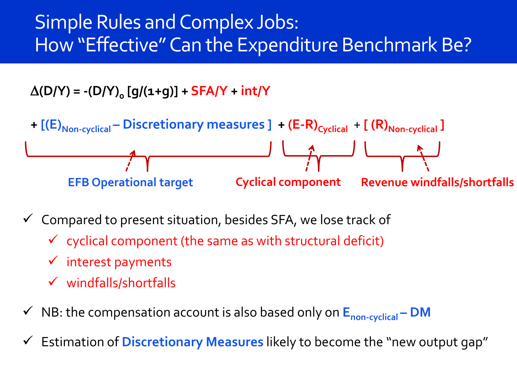### Simple Rules and Complex Jobs: How "Effective" Can the Expenditure Benchmark Be?

 $\Delta(D/Y) = -(D/Y)_{o} [g/(1+g)] + SFA/Y + int/Y$ 



- $\checkmark$  Compared to present situation, besides SFA, we lose track of
	- $\checkmark$  cyclical component (the same as with structural deficit)
	- $\checkmark$  interest payments
	- $\checkmark$  windfalls/shortfalls
- NB: the compensation account is also based only on **Enon-cyclical – DM**
- Estimation of **Discretionary Measures** likely to become the "new output gap"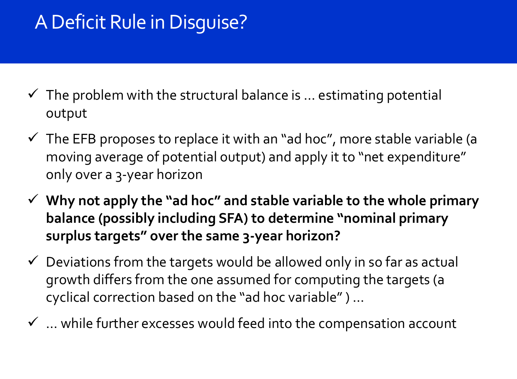# A Deficit Rule in Disguise?

- $\checkmark$  The problem with the structural balance is ... estimating potential output
- $\checkmark$  The EFB proposes to replace it with an "ad hoc", more stable variable (a moving average of potential output) and apply it to "net expenditure" only over a 3-year horizon
- **Why not apply the "ad hoc" and stable variable to the whole primary balance (possibly including SFA) to determine "nominal primary surplus targets" over the same 3-year horizon?**
- $\checkmark$  Deviations from the targets would be allowed only in so far as actual growth differs from the one assumed for computing the targets (a cyclical correction based on the "ad hoc variable" ) …
- $\checkmark$  ... while further excesses would feed into the compensation account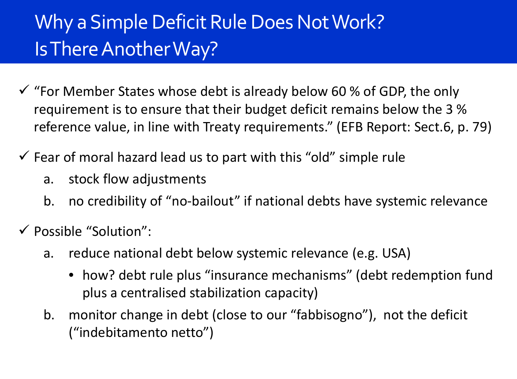# Why a Simple Deficit Rule Does Not Work? Is There Another Way?

- $\checkmark$  "For Member States whose debt is already below 60 % of GDP, the only requirement is to ensure that their budget deficit remains below the 3 % reference value, in line with Treaty requirements." (EFB Report: Sect.6, p. 79) Two open questions … and a quote  $\mathcal{L}$  and a quote  $\mathcal{L}$  and a quote  $\mathcal{L}$
- $\checkmark$  Fear of moral hazard lead us to part with this "old" simple rule
	- a. stock flow adjustments
	- b. no credibility of "no-bailout" if national debts have systemic relevance
- $\checkmark$  Possible "Solution":
	- a. reduce national debt below systemic relevance (e.g. USA)
		- how? debt rule plus "insurance mechanisms" (debt redemption fund plus a centralised stabilization capacity)
	- b. monitor change in debt (close to our "fabbisogno"), not the deficit ("indebitamento netto")